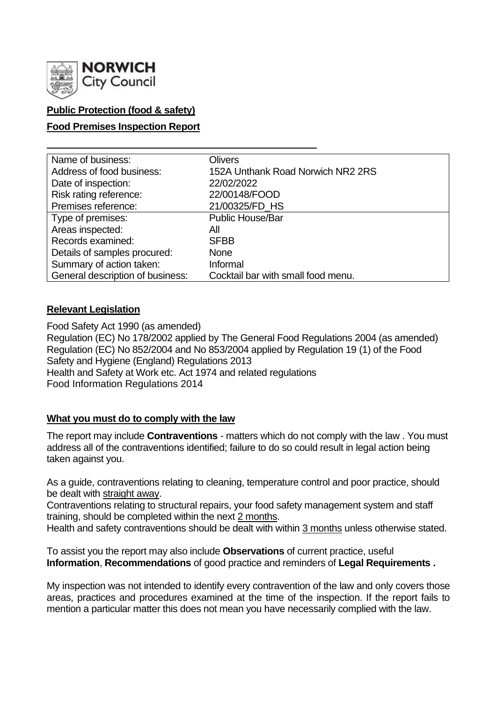

# **Public Protection (food & safety)**

## **Food Premises Inspection Report**

| Name of business:                | <b>Olivers</b>                     |
|----------------------------------|------------------------------------|
| Address of food business:        | 152A Unthank Road Norwich NR2 2RS  |
| Date of inspection:              | 22/02/2022                         |
| Risk rating reference:           | 22/00148/FOOD                      |
| Premises reference:              | 21/00325/FD HS                     |
| Type of premises:                | <b>Public House/Bar</b>            |
| Areas inspected:                 | All                                |
| Records examined:                | <b>SFBB</b>                        |
| Details of samples procured:     | <b>None</b>                        |
| Summary of action taken:         | Informal                           |
| General description of business: | Cocktail bar with small food menu. |

#### **Relevant Legislation**

Food Safety Act 1990 (as amended) Regulation (EC) No 178/2002 applied by The General Food Regulations 2004 (as amended) Regulation (EC) No 852/2004 and No 853/2004 applied by Regulation 19 (1) of the Food Safety and Hygiene (England) Regulations 2013 Health and Safety at Work etc. Act 1974 and related regulations Food Information Regulations 2014

#### **What you must do to comply with the law**

The report may include **Contraventions** - matters which do not comply with the law . You must address all of the contraventions identified; failure to do so could result in legal action being taken against you.

As a guide, contraventions relating to cleaning, temperature control and poor practice, should be dealt with straight away.

Contraventions relating to structural repairs, your food safety management system and staff training, should be completed within the next 2 months.

Health and safety contraventions should be dealt with within 3 months unless otherwise stated.

To assist you the report may also include **Observations** of current practice, useful **Information**, **Recommendations** of good practice and reminders of **Legal Requirements .**

My inspection was not intended to identify every contravention of the law and only covers those areas, practices and procedures examined at the time of the inspection. If the report fails to mention a particular matter this does not mean you have necessarily complied with the law.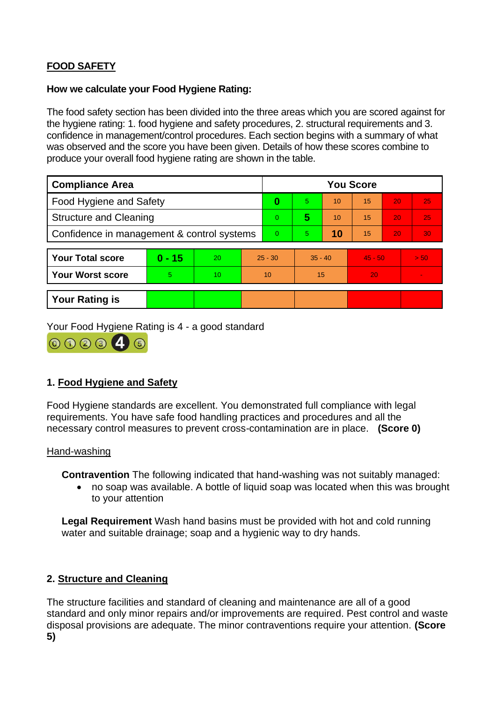# **FOOD SAFETY**

## **How we calculate your Food Hygiene Rating:**

The food safety section has been divided into the three areas which you are scored against for the hygiene rating: 1. food hygiene and safety procedures, 2. structural requirements and 3. confidence in management/control procedures. Each section begins with a summary of what was observed and the score you have been given. Details of how these scores combine to produce your overall food hygiene rating are shown in the table.

| <b>Compliance Area</b>                     |          |    | <b>You Score</b> |    |           |    |           |    |                |
|--------------------------------------------|----------|----|------------------|----|-----------|----|-----------|----|----------------|
| <b>Food Hygiene and Safety</b>             |          |    | $\bf{0}$         | 5. | 10        | 15 | 20        | 25 |                |
| <b>Structure and Cleaning</b>              |          |    | 0                | 5  | 10        | 15 | 20        | 25 |                |
| Confidence in management & control systems |          |    | 0                | 5. | 10        | 15 | 20        | 30 |                |
|                                            |          |    |                  |    |           |    |           |    |                |
| <b>Your Total score</b>                    | $0 - 15$ | 20 | $25 - 30$        |    | $35 - 40$ |    | $45 - 50$ |    | > 50           |
| <b>Your Worst score</b>                    | 5        | 10 | 10               |    | 15        |    | 20        |    | $\blacksquare$ |
|                                            |          |    |                  |    |           |    |           |    |                |
| <b>Your Rating is</b>                      |          |    |                  |    |           |    |           |    |                |

Your Food Hygiene Rating is 4 - a good standard



# **1. Food Hygiene and Safety**

Food Hygiene standards are excellent. You demonstrated full compliance with legal requirements. You have safe food handling practices and procedures and all the necessary control measures to prevent cross-contamination are in place. **(Score 0)**

#### Hand-washing

**Contravention** The following indicated that hand-washing was not suitably managed:

• no soap was available. A bottle of liquid soap was located when this was brought to your attention

**Legal Requirement** Wash hand basins must be provided with hot and cold running water and suitable drainage; soap and a hygienic way to dry hands.

# **2. Structure and Cleaning**

The structure facilities and standard of cleaning and maintenance are all of a good standard and only minor repairs and/or improvements are required. Pest control and waste disposal provisions are adequate. The minor contraventions require your attention. **(Score 5)**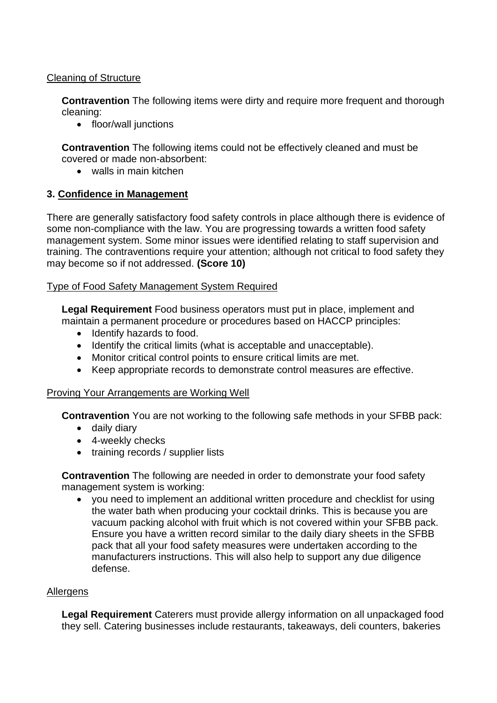## Cleaning of Structure

**Contravention** The following items were dirty and require more frequent and thorough cleaning:

• floor/wall junctions

**Contravention** The following items could not be effectively cleaned and must be covered or made non-absorbent:

• walls in main kitchen

## **3. Confidence in Management**

There are generally satisfactory food safety controls in place although there is evidence of some non-compliance with the law. You are progressing towards a written food safety management system. Some minor issues were identified relating to staff supervision and training. The contraventions require your attention; although not critical to food safety they may become so if not addressed. **(Score 10)**

#### Type of Food Safety Management System Required

**Legal Requirement** Food business operators must put in place, implement and maintain a permanent procedure or procedures based on HACCP principles:

- Identify hazards to food.
- Identify the critical limits (what is acceptable and unacceptable).
- Monitor critical control points to ensure critical limits are met.
- Keep appropriate records to demonstrate control measures are effective.

#### Proving Your Arrangements are Working Well

**Contravention** You are not working to the following safe methods in your SFBB pack:

- daily diary
- 4-weekly checks
- training records / supplier lists

**Contravention** The following are needed in order to demonstrate your food safety management system is working:

• you need to implement an additional written procedure and checklist for using the water bath when producing your cocktail drinks. This is because you are vacuum packing alcohol with fruit which is not covered within your SFBB pack. Ensure you have a written record similar to the daily diary sheets in the SFBB pack that all your food safety measures were undertaken according to the manufacturers instructions. This will also help to support any due diligence defense.

#### Allergens

**Legal Requirement** Caterers must provide allergy information on all unpackaged food they sell. Catering businesses include restaurants, takeaways, deli counters, bakeries